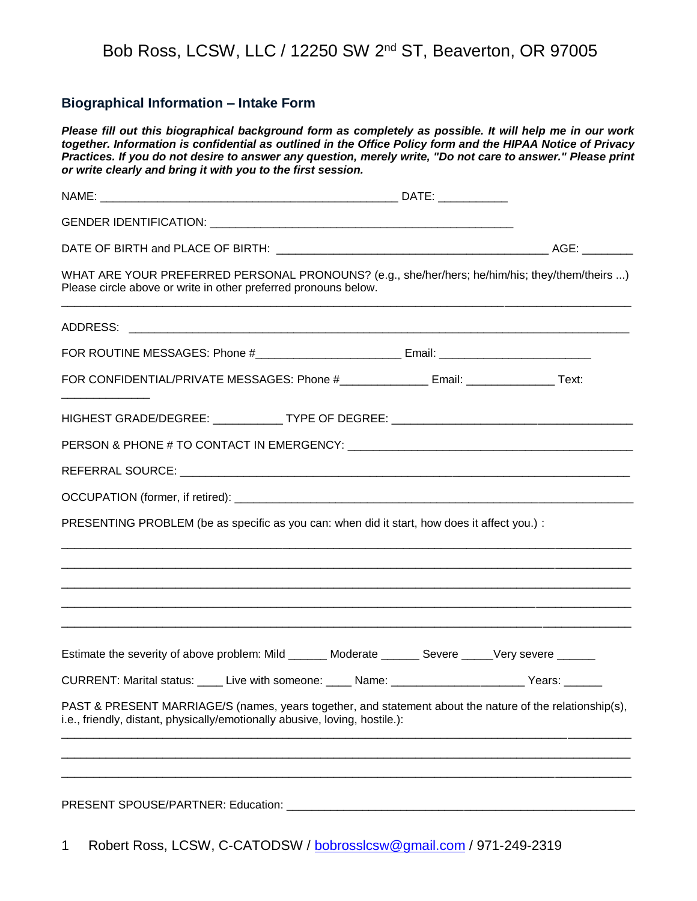#### Bob Ross, LCSW, LLC / 12250 SW 2nd ST, Beaverton, OR 97005

#### **Biographical Information – Intake Form**

*Please fill out this biographical background form as completely as possible. It will help me in our work together. Information is confidential as outlined in the Office Policy form and the HIPAA Notice of Privacy Practices. If you do not desire to answer any question, merely write, "Do not care to answer." Please print or write clearly and bring it with you to the first session.*

| WHAT ARE YOUR PREFERRED PERSONAL PRONOUNS? (e.g., she/her/hers; he/him/his; they/them/theirs )<br>Please circle above or write in other preferred pronouns below.                       |  |  |  |
|-----------------------------------------------------------------------------------------------------------------------------------------------------------------------------------------|--|--|--|
|                                                                                                                                                                                         |  |  |  |
|                                                                                                                                                                                         |  |  |  |
| FOR CONFIDENTIAL/PRIVATE MESSAGES: Phone #_______________ Email: ________________ Text:                                                                                                 |  |  |  |
| HIGHEST GRADE/DEGREE: _____________ TYPE OF DEGREE: _____________________________                                                                                                       |  |  |  |
|                                                                                                                                                                                         |  |  |  |
|                                                                                                                                                                                         |  |  |  |
|                                                                                                                                                                                         |  |  |  |
| PRESENTING PROBLEM (be as specific as you can: when did it start, how does it affect you.) :                                                                                            |  |  |  |
|                                                                                                                                                                                         |  |  |  |
|                                                                                                                                                                                         |  |  |  |
|                                                                                                                                                                                         |  |  |  |
| Estimate the severity of above problem: Mild ______ Moderate ______ Severe ____Very severe _____                                                                                        |  |  |  |
| CURRENT: Marital status: ____ Live with someone: ____ Name: _____________________ Years: ______                                                                                         |  |  |  |
| PAST & PRESENT MARRIAGE/S (names, years together, and statement about the nature of the relationship(s),<br>i.e., friendly, distant, physically/emotionally abusive, loving, hostile.): |  |  |  |
|                                                                                                                                                                                         |  |  |  |
|                                                                                                                                                                                         |  |  |  |

1 Robert Ross, LCSW, C-CATODSW / [bobrosslcsw@gmail.com](mailto:bobrosslcsw@gmail.com) / 971-249-2319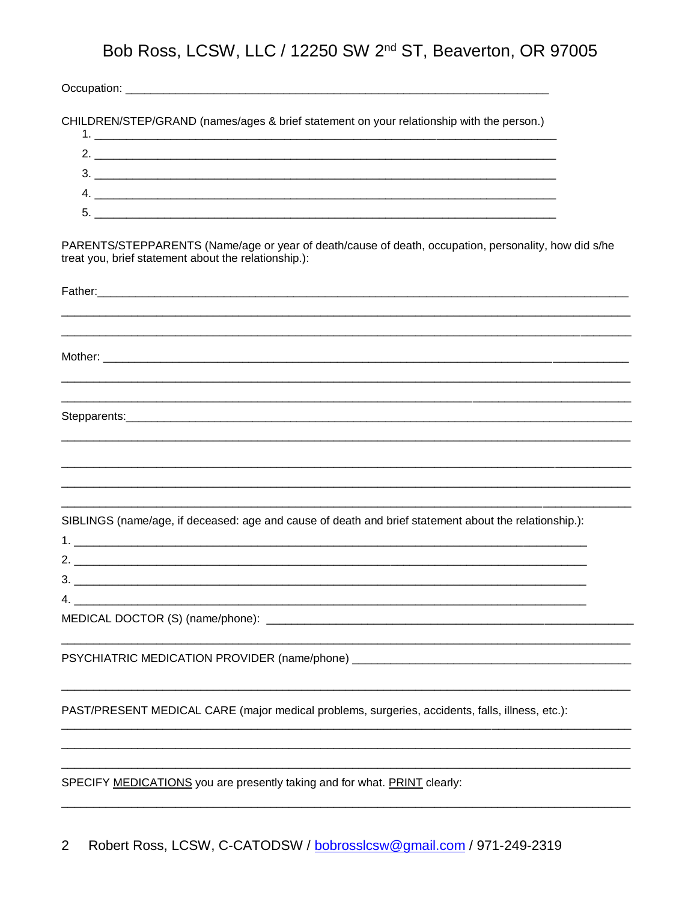# Bob Ross, LCSW, LLC / 12250 SW 2<sup>nd</sup> ST, Beaverton, OR 97005

CHILDREN/STEP/GRAND (names/ages & brief statement on your relationship with the person.)

| 2 |  |
|---|--|
|   |  |
| ᄃ |  |
|   |  |

PARENTS/STEPPARENTS (Name/age or year of death/cause of death, occupation, personality, how did s/he treat you, brief statement about the relationship.):

| SIBLINGS (name/age, if deceased: age and cause of death and brief statement about the relationship.): |
|-------------------------------------------------------------------------------------------------------|
|                                                                                                       |
|                                                                                                       |
| PSYCHIATRIC MEDICATION PROVIDER (name/phone) ___________________________________                      |
|                                                                                                       |
| PAST/PRESENT MEDICAL CARE (major medical problems, surgeries, accidents, falls, illness, etc.):       |
| SPECIFY MEDICATIONS you are presently taking and for what. PRINT clearly:                             |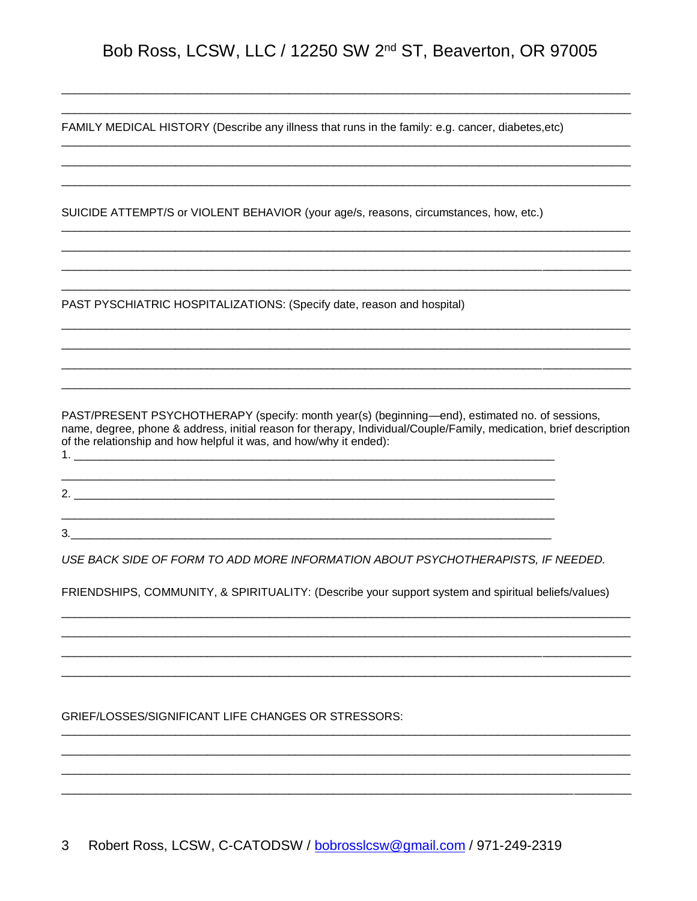### Bob Ross, LCSW, LLC / 12250 SW 2<sup>nd</sup> ST, Beaverton, OR 97005

FAMILY MEDICAL HISTORY (Describe any illness that runs in the family: e.g. cancer, diabetes, etc)

SUICIDE ATTEMPT/S or VIOLENT BEHAVIOR (your age/s, reasons, circumstances, how, etc.)

PAST PYSCHIATRIC HOSPITALIZATIONS: (Specify date, reason and hospital)

 $3.$ 

PAST/PRESENT PSYCHOTHERAPY (specify: month year(s) (beginning-end), estimated no. of sessions, name, degree, phone & address, initial reason for therapy, Individual/Couple/Family, medication, brief description of the relationship and how helpful it was, and how/why it ended): 

USE BACK SIDE OF FORM TO ADD MORE INFORMATION ABOUT PSYCHOTHERAPISTS. IF NEEDED.

FRIENDSHIPS, COMMUNITY, & SPIRITUALITY: (Describe your support system and spiritual beliefs/values)

**GRIEF/LOSSES/SIGNIFICANT LIFE CHANGES OR STRESSORS:** 

3 Robert Ross, LCSW, C-CATODSW / bobrosslcsw@gmail.com / 971-249-2319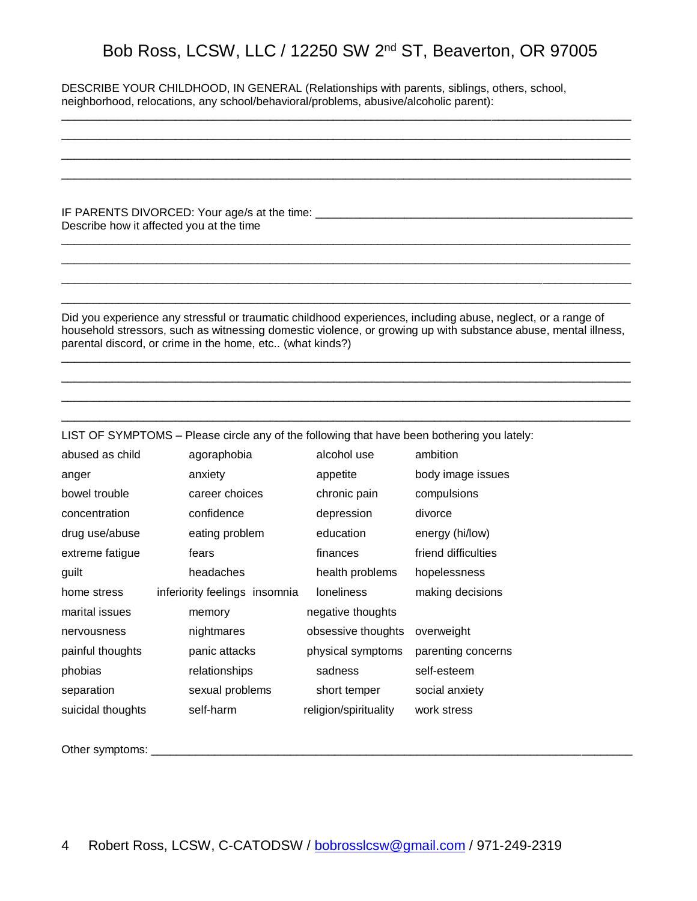### Bob Ross, LCSW, LLC / 12250 SW 2nd ST, Beaverton, OR 97005

\_\_\_\_\_\_\_\_\_\_\_\_\_\_\_\_\_\_\_\_\_\_\_\_\_\_\_\_\_\_\_\_\_\_\_\_\_\_\_\_\_\_\_\_\_\_\_\_\_\_\_\_\_\_\_\_\_\_\_\_\_\_\_\_\_\_\_\_\_\_\_\_\_\_\_\_\_\_\_\_\_\_\_\_\_\_\_\_\_\_ \_\_\_\_\_\_\_\_\_\_\_\_\_\_\_\_\_\_\_\_\_\_\_\_\_\_\_\_\_\_\_\_\_\_\_\_\_\_\_\_\_\_\_\_\_\_\_\_\_\_\_\_\_\_\_\_\_\_\_\_\_\_\_\_\_\_\_\_\_\_\_\_\_\_\_\_\_\_\_\_\_\_\_\_\_\_\_\_\_\_ \_\_\_\_\_\_\_\_\_\_\_\_\_\_\_\_\_\_\_\_\_\_\_\_\_\_\_\_\_\_\_\_\_\_\_\_\_\_\_\_\_\_\_\_\_\_\_\_\_\_\_\_\_\_\_\_\_\_\_\_\_\_\_\_\_\_\_\_\_\_\_\_\_\_\_\_\_\_\_\_\_\_\_\_\_\_\_\_\_\_ \_\_\_\_\_\_\_\_\_\_\_\_\_\_\_\_\_\_\_\_\_\_\_\_\_\_\_\_\_\_\_\_\_\_\_\_\_\_\_\_\_\_\_\_\_\_\_\_\_\_\_\_\_\_\_\_\_\_\_\_\_\_\_\_\_\_\_\_\_\_\_\_\_\_\_\_\_\_\_\_\_\_\_\_\_\_\_\_\_\_

DESCRIBE YOUR CHILDHOOD, IN GENERAL (Relationships with parents, siblings, others, school, neighborhood, relocations, any school/behavioral/problems, abusive/alcoholic parent):

IF PARENTS DIVORCED: Your age/s at the time: Describe how it affected you at the time

Did you experience any stressful or traumatic childhood experiences, including abuse, neglect, or a range of household stressors, such as witnessing domestic violence, or growing up with substance abuse, mental illness, parental discord, or crime in the home, etc.. (what kinds?)

\_\_\_\_\_\_\_\_\_\_\_\_\_\_\_\_\_\_\_\_\_\_\_\_\_\_\_\_\_\_\_\_\_\_\_\_\_\_\_\_\_\_\_\_\_\_\_\_\_\_\_\_\_\_\_\_\_\_\_\_\_\_\_\_\_\_\_\_\_\_\_\_\_\_\_\_\_\_\_\_\_\_\_\_\_\_\_\_\_\_ \_\_\_\_\_\_\_\_\_\_\_\_\_\_\_\_\_\_\_\_\_\_\_\_\_\_\_\_\_\_\_\_\_\_\_\_\_\_\_\_\_\_\_\_\_\_\_\_\_\_\_\_\_\_\_\_\_\_\_\_\_\_\_\_\_\_\_\_\_\_\_\_\_\_\_\_\_\_\_\_\_\_\_\_\_\_\_\_\_\_ \_\_\_\_\_\_\_\_\_\_\_\_\_\_\_\_\_\_\_\_\_\_\_\_\_\_\_\_\_\_\_\_\_\_\_\_\_\_\_\_\_\_\_\_\_\_\_\_\_\_\_\_\_\_\_\_\_\_\_\_\_\_\_\_\_\_\_\_\_\_\_\_\_\_\_\_\_\_\_\_\_\_\_\_\_\_\_\_\_\_ \_\_\_\_\_\_\_\_\_\_\_\_\_\_\_\_\_\_\_\_\_\_\_\_\_\_\_\_\_\_\_\_\_\_\_\_\_\_\_\_\_\_\_\_\_\_\_\_\_\_\_\_\_\_\_\_\_\_\_\_\_\_\_\_\_\_\_\_\_\_\_\_\_\_\_\_\_\_\_\_\_\_\_\_\_\_\_\_\_\_

\_\_\_\_\_\_\_\_\_\_\_\_\_\_\_\_\_\_\_\_\_\_\_\_\_\_\_\_\_\_\_\_\_\_\_\_\_\_\_\_\_\_\_\_\_\_\_\_\_\_\_\_\_\_\_\_\_\_\_\_\_\_\_\_\_\_\_\_\_\_\_\_\_\_\_\_\_\_\_\_\_\_\_\_\_\_\_\_\_\_ \_\_\_\_\_\_\_\_\_\_\_\_\_\_\_\_\_\_\_\_\_\_\_\_\_\_\_\_\_\_\_\_\_\_\_\_\_\_\_\_\_\_\_\_\_\_\_\_\_\_\_\_\_\_\_\_\_\_\_\_\_\_\_\_\_\_\_\_\_\_\_\_\_\_\_\_\_\_\_\_\_\_\_\_\_\_\_\_\_\_ \_\_\_\_\_\_\_\_\_\_\_\_\_\_\_\_\_\_\_\_\_\_\_\_\_\_\_\_\_\_\_\_\_\_\_\_\_\_\_\_\_\_\_\_\_\_\_\_\_\_\_\_\_\_\_\_\_\_\_\_\_\_\_\_\_\_\_\_\_\_\_\_\_\_\_\_\_\_\_\_\_\_\_\_\_\_\_\_\_\_ \_\_\_\_\_\_\_\_\_\_\_\_\_\_\_\_\_\_\_\_\_\_\_\_\_\_\_\_\_\_\_\_\_\_\_\_\_\_\_\_\_\_\_\_\_\_\_\_\_\_\_\_\_\_\_\_\_\_\_\_\_\_\_\_\_\_\_\_\_\_\_\_\_\_\_\_\_\_\_\_\_\_\_\_\_\_\_\_\_\_

LIST OF SYMPTOMS – Please circle any of the following that have been bothering you lately: abused as child agoraphobia alcohol use ambition anger anxiety anxiety appetite body image issues bowel trouble career choices chronic pain compulsions concentration confidence depression divorce drug use/abuse eating problem education energy (hi/low) extreme fatigue fears finances friend difficulties guilt headaches health problems hopelessness home stress inferiority feelings insomnia loneliness making decisions marital issues memory memory negative thoughts nervousness nightmares obsessive thoughts overweight painful thoughts panic attacks physical symptoms parenting concerns phobias relationships sadness self-esteem separation sexual problems short temper social anxiety suicidal thoughts self-harm religion/spirituality work stress

Other symptoms: \_\_\_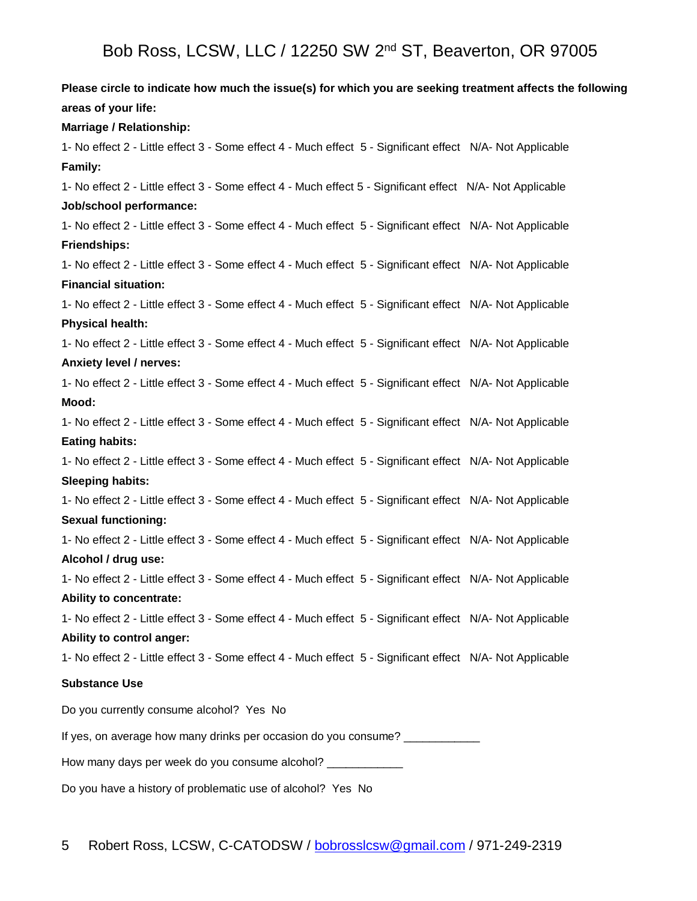**Please circle to indicate how much the issue(s) for which you are seeking treatment affects the following areas of your life: Marriage / Relationship:** 1- No effect 2 - Little effect 3 - Some effect 4 - Much effect 5 - Significant effect N/A- Not Applicable **Family:** 1- No effect 2 - Little effect 3 - Some effect 4 - Much effect 5 - Significant effect N/A- Not Applicable **Job/school performance:**  1- No effect 2 - Little effect 3 - Some effect 4 - Much effect 5 - Significant effect N/A- Not Applicable **Friendships:** 1- No effect 2 - Little effect 3 - Some effect 4 - Much effect 5 - Significant effect N/A- Not Applicable **Financial situation:** 1- No effect 2 - Little effect 3 - Some effect 4 - Much effect 5 - Significant effect N/A- Not Applicable **Physical health:** 1- No effect 2 - Little effect 3 - Some effect 4 - Much effect 5 - Significant effect N/A- Not Applicable **Anxiety level / nerves:** 1- No effect 2 - Little effect 3 - Some effect 4 - Much effect 5 - Significant effect N/A- Not Applicable **Mood:** 1- No effect 2 - Little effect 3 - Some effect 4 - Much effect 5 - Significant effect N/A- Not Applicable **Eating habits:** 1- No effect 2 - Little effect 3 - Some effect 4 - Much effect 5 - Significant effect N/A- Not Applicable **Sleeping habits:** 1- No effect 2 - Little effect 3 - Some effect 4 - Much effect 5 - Significant effect N/A- Not Applicable **Sexual functioning:** 1- No effect 2 - Little effect 3 - Some effect 4 - Much effect 5 - Significant effect N/A- Not Applicable **Alcohol / drug use:** 1- No effect 2 - Little effect 3 - Some effect 4 - Much effect 5 - Significant effect N/A- Not Applicable **Ability to concentrate:** 1- No effect 2 - Little effect 3 - Some effect 4 - Much effect 5 - Significant effect N/A- Not Applicable **Ability to control anger:** 1- No effect 2 - Little effect 3 - Some effect 4 - Much effect 5 - Significant effect N/A- Not Applicable **Substance Use** Do you currently consume alcohol? Yes No If yes, on average how many drinks per occasion do you consume? How many days per week do you consume alcohol? \_\_\_\_\_\_\_ Do you have a history of problematic use of alcohol? Yes No